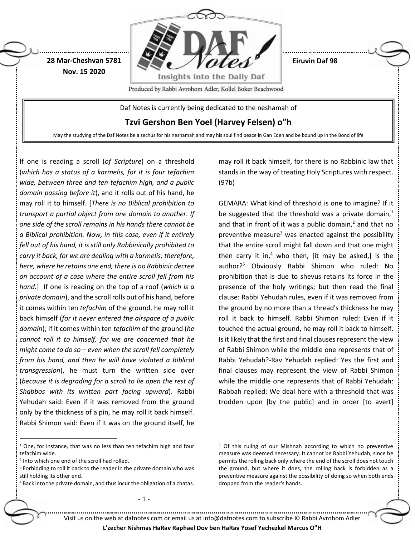

If one is reading a scroll (*of Scripture*) on a threshold (*which has a status of a karmelis, for it is four tefachim wide, between three and ten tefachim high, and a public domain passing before it*), and it rolls out of his hand, he may roll it to himself. [*There is no Biblical prohibition to transport a partial object from one domain to another. If one side of the scroll remains in his hands there cannot be a Biblical prohibition. Now, in this case, even if it entirely fell out of his hand, it is still only Rabbinically prohibited to carry it back, for we are dealing with a karmelis; therefore, here, where he retains one end, there is no Rabbinic decree on account of a case where the entire scroll fell from his hand.*] If one is reading on the top of a roof (*which is a private domain*), and the scroll rolls out of his hand, before it comes within ten *tefachim* of the ground, he may roll it back himself (*for it never entered the airspace of a public domain*); if it comes within ten *tefachim* of the ground (*he cannot roll it to himself, for we are concerned that he might come to do so – even when the scroll fell completely from his hand, and then he will have violated a Biblical transgression*), he must turn the written side over (*because it is degrading for a scroll to lie open the rest of Shabbos with its written part facing upward*). Rabbi Yehudah said: Even if it was removed from the ground only by the thickness of a pin, he may roll it back himself. Rabbi Shimon said: Even if it was on the ground itself, he

may roll it back himself, for there is no Rabbinic law that stands in the way of treating Holy Scriptures with respect. (97b)

GEMARA: What kind of threshold is one to imagine? If it be suggested that the threshold was a private domain, $<sup>1</sup>$ </sup> and that in front of it was a public domain, $<sup>2</sup>$  and that no</sup> preventive measure<sup>3</sup> was enacted against the possibility that the entire scroll might fall down and that one might then carry it in,<sup>4</sup> who then, [it may be asked,] is the author?<sup>5</sup> Obviously Rabbi Shimon who ruled: No prohibition that is due to shevus retains its force in the presence of the holy writings; but then read the final clause: Rabbi Yehudah rules, even if it was removed from the ground by no more than a thread's thickness he may roll it back to himself. Rabbi Shimon ruled: Even if it touched the actual ground, he may roll it back to himself. Is it likely that the first and final clauses represent the view of Rabbi Shimon while the middle one represents that of Rabbi Yehudah?-Rav Yehudah replied: Yes the first and final clauses may represent the view of Rabbi Shimon while the middle one represents that of Rabbi Yehudah: Rabbah replied: We deal here with a threshold that was trodden upon [by the public] and in order [to avert]

 $\overline{a}$ 

- 1 -

<sup>5</sup> Of this ruling of our Mishnah according to which no preventive measure was deemed necessary. It cannot be Rabbi Yehudah, since he permits the rolling back only where the end of the scroll does not touch the ground, but where it does, the rolling back is forbidden as a preventive measure against the possibility of doing so when both ends dropped from the reader's hands.

Visit us on the web at dafnotes.com or email us at [info@dafnotes.com](mailto:info@dafnotes.com) to subscribe © Rabbi Avrohom Adler

**L'zecher Nishmas HaRav Raphael Dov ben HaRav Yosef Yechezkel Marcus O"H**

<sup>&</sup>lt;sup>1</sup> One, for instance, that was no less than ten tefachim high and four tefachim wide.

<sup>2</sup> Into which one end of the scroll had rolled.

<sup>&</sup>lt;sup>3</sup> Forbidding to roll it back to the reader in the private domain who was still holding its other end.

<sup>4</sup> Back into the private domain, and thus incur the obligation of a chatas.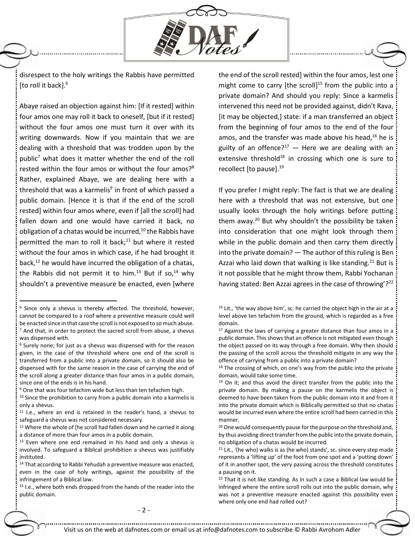

disrespect to the holy writings the Rabbis have permitted [to roll it back].<sup>6</sup>

Abaye raised an objection against him: [If it rested] within four amos one may roll it back to oneself, [but if it rested] without the four amos one must turn it over with its writing downwards. Now if you maintain that we are dealing with a threshold that was trodden upon by the public<sup>7</sup> what does it matter whether the end of the roll rested within the four amos or without the four amos?<sup>8</sup> Rather, explained Abaye, we are dealing here with a threshold that was a karmelis<sup>9</sup> in front of which passed a public domain. [Hence it is that if the end of the scroll rested] within four amos where, even if [all the scroll] had fallen down and one would have carried it back, no obligation of a chatas would be incurred, $10$  the Rabbis have permitted the man to roll it back; $11$  but where it rested without the four amos in which case, if he had brought it back, $12$  he would have incurred the obligation of a chatas, the Rabbis did not permit it to him.<sup>13</sup> But if so,<sup>14</sup> why shouldn't a preventive measure be enacted, even [where

 $\overline{a}$ 

<sup>8</sup> Surely none; for just as a shevus was dispensed with for the reason given, in the case of the threshold where one end of the scroll is transferred from a public into a private domain, so it should also be dispensed with for the same reason in the case of carrying the end of the scroll along a greater distance than four amos in a public domain, since one of the ends is in his hand.

the end of the scroll rested] within the four amos, lest one might come to carry [the scroll]<sup>15</sup> from the public into a private domain? And should you reply: Since a karmelis intervened this need not be provided against, didn't Rava, [it may be objected,] state: if a man transferred an object from the beginning of four amos to the end of the four amos, and the transfer was made above his head, $16$  he is guilty of an offence? $17 -$  Here we are dealing with an extensive threshold $18$  in crossing which one is sure to recollect [to pause].<sup>19</sup>

If you prefer I might reply: The fact is that we are dealing here with a threshold that was not extensive, but one usually looks through the holy writings before putting them away. $20$  But why shouldn't the possibility be taken into consideration that one might look through them while in the public domain and then carry them directly into the private domain? — The author of this ruling is Ben Azzai who laid down that walking is like standing.<sup>21</sup> But is it not possible that he might throw them, Rabbi Yochanan having stated: Ben Azzai agrees in the case of throwing'?<sup>22</sup>

<sup>6</sup> Since only a shevus is thereby affected. The threshold, however, cannot be compared to a roof where a preventive measure could well be enacted since in that case the scroll is not exposed to so much abuse.  $7$  And that, in order to protect the sacred scroll from abuse, a shevus was dispensed with.

<sup>9</sup> One that was four tefachim wide but less than ten tefachim high.

 $10$  Since the prohibition to carry from a public domain into a karmelis is only a shevus.

<sup>11</sup> I.e., where an end is retained in the reader's hand, a shevus to safeguard a shevus was not considered necessary.

<sup>&</sup>lt;sup>12</sup> Where the whole of [he scroll had fallen down and he carried it along a distance of more than four amos in a public domain.

 $13$  Even where one end remained in his hand and only a shevus is involved. To safeguard a Biblical prohibition a shevus was justifiably instituted.

<sup>&</sup>lt;sup>14</sup> That according to Rabbi Yehudah a preventive measure was enacted, even in the case of holy writings, against the possibility of the infringement of a Biblical law.

<sup>15</sup> I.e., where both ends dropped from the hands of the reader into the public domain.

<sup>&</sup>lt;sup>16</sup> Lit., 'the way above him', sc. he carried the object high in the air at a level above ten tefachim from the ground, which is regarded as a free domain.

 $17$  Against the laws of carrying a greater distance than four amos in a public domain. This shows that an offence is not mitigated even though the object passed on its way through a free domain. Why then should the passing of the scroll across the threshold mitigate in any way the offence of carrying from a public into a private domain?

<sup>&</sup>lt;sup>18</sup> The crossing of which, on one's way from the public into the private domain, would take some time.

 $19$  On it; and thus avoid the direct transfer from the public into the private domain. By making a pause on the karmelis the object is deemed to have been taken from the public domain into it and from it into the private domain which is Biblically permitted so that no chatas would be incurred even where the entire scroll had been carried in this manner.

<sup>&</sup>lt;sup>20</sup> One would consequently pause for the purpose on the threshold and, by thus avoiding direct transfer from the public into the private domain, no obligation of a chatas would be incurred.

 $21$  Lit., '(he who) walks is as (he who) stands', sc. since every step made represents a 'lifting up' of the foot from one spot and a 'putting down' of it in another spot, the very passing across the threshold constitutes a pausing on it.

<sup>&</sup>lt;sup>22</sup> That it is not like standing. As in such a case a Biblical law would be infringed where the entire scroll rolls out into the public domain, why was not a preventive measure enacted against this possibility even where only one end had rolled out?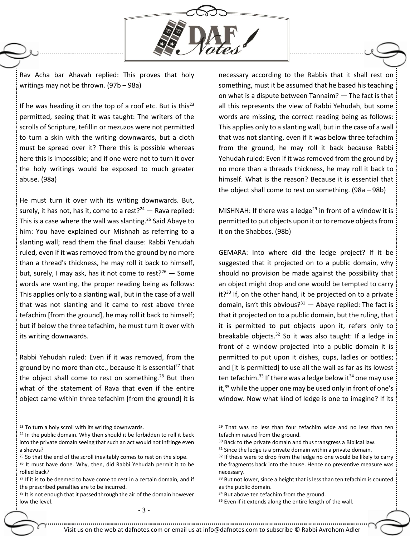

Rav Acha bar Ahavah replied: This proves that holy writings may not be thrown. (97b – 98a)

If he was heading it on the top of a roof etc. But is this<sup>23</sup> permitted, seeing that it was taught: The writers of the scrolls of Scripture, tefillin or mezuzos were not permitted to turn a skin with the writing downwards, but a cloth must be spread over it? There this is possible whereas here this is impossible; and if one were not to turn it over the holy writings would be exposed to much greater abuse. (98a)

He must turn it over with its writing downwards. But, surely, it has not, has it, come to a rest? $24 -$  Rava replied: This is a case where the wall was slanting.<sup>25</sup> Said Abaye to him: You have explained our Mishnah as referring to a slanting wall; read them the final clause: Rabbi Yehudah ruled, even if it was removed from the ground by no more than a thread's thickness, he may roll it back to himself, but, surely, I may ask, has it not come to rest? $2^6$  – Some words are wanting, the proper reading being as follows: This applies only to a slanting wall, but in the case of a wall that was not slanting and it came to rest above three tefachim [from the ground], he may roll it back to himself; but if below the three tefachim, he must turn it over with its writing downwards.

Rabbi Yehudah ruled: Even if it was removed, from the ground by no more than etc., because it is essential<sup>27</sup> that the object shall come to rest on something. $28$  But then what of the statement of Rava that even if the entire object came within three tefachim [from the ground] it is

 $\overline{a}$ 

- <sup>24</sup> In the public domain. Why then should it be forbidden to roll it back into the private domain seeing that such an act would not infringe even a shevus?
- <sup>25</sup> So that the end of the scroll inevitably comes to rest on the slope.
- <sup>26</sup> It must have done. Why, then, did Rabbi Yehudah permit it to be rolled back?

necessary according to the Rabbis that it shall rest on something, must it be assumed that he based his teaching on what is a dispute between Tannaim? — The fact is that all this represents the view of Rabbi Yehudah, but some words are missing, the correct reading being as follows: This applies only to a slanting wall, but in the case of a wall that was not slanting, even if it was below three tefachim from the ground, he may roll it back because Rabbi Yehudah ruled: Even if it was removed from the ground by no more than a threads thickness, he may roll it back to himself. What is the reason? Because it is essential that the object shall come to rest on something. (98a – 98b)

MISHNAH: If there was a ledge<sup>29</sup> in front of a window it is permitted to put objects upon it or to remove objects from it on the Shabbos. (98b)

GEMARA: Into where did the ledge project? If it be suggested that it projected on to a public domain, why should no provision be made against the possibility that an object might drop and one would be tempted to carry  $it?$ <sup>30</sup> If, on the other hand, it be projected on to a private domain, isn't this obvious? $31 -$  Abaye replied: The fact is that it projected on to a public domain, but the ruling, that it is permitted to put objects upon it, refers only to breakable objects. $32$  So it was also taught: If a ledge in front of a window projected into a public domain it is permitted to put upon it dishes, cups, ladles or bottles; and [it is permitted] to use all the wall as far as its lowest ten tefachim.<sup>33</sup> If there was a ledge below it<sup>34</sup> one may use it,<sup>35</sup> while the upper one may be used only in front of one's window. Now what kind of ledge is one to imagine? If its

- 3 -

<sup>&</sup>lt;sup>23</sup> To turn a holy scroll with its writing downwards.

 $27$  If it is to be deemed to have come to rest in a certain domain, and if the prescribed penalties are to be incurred.

<sup>&</sup>lt;sup>28</sup> It is not enough that it passed through the air of the domain however low the level.

<sup>&</sup>lt;sup>29</sup> That was no less than four tefachim wide and no less than ten tefachim raised from the ground.

<sup>&</sup>lt;sup>30</sup> Back to the private domain and thus transgress a Biblical law.

 $31$  Since the ledge is a private domain within a private domain.

<sup>&</sup>lt;sup>32</sup> If these were to drop from the ledge no one would be likely to carry the fragments back into the house. Hence no preventive measure was necessary.

<sup>&</sup>lt;sup>33</sup> But not lower, since a height that is less than ten tefachim is counted as the public domain.

<sup>&</sup>lt;sup>34</sup> But above ten tefachim from the ground.

<sup>35</sup> Even if it extends along the entire length of the wall.